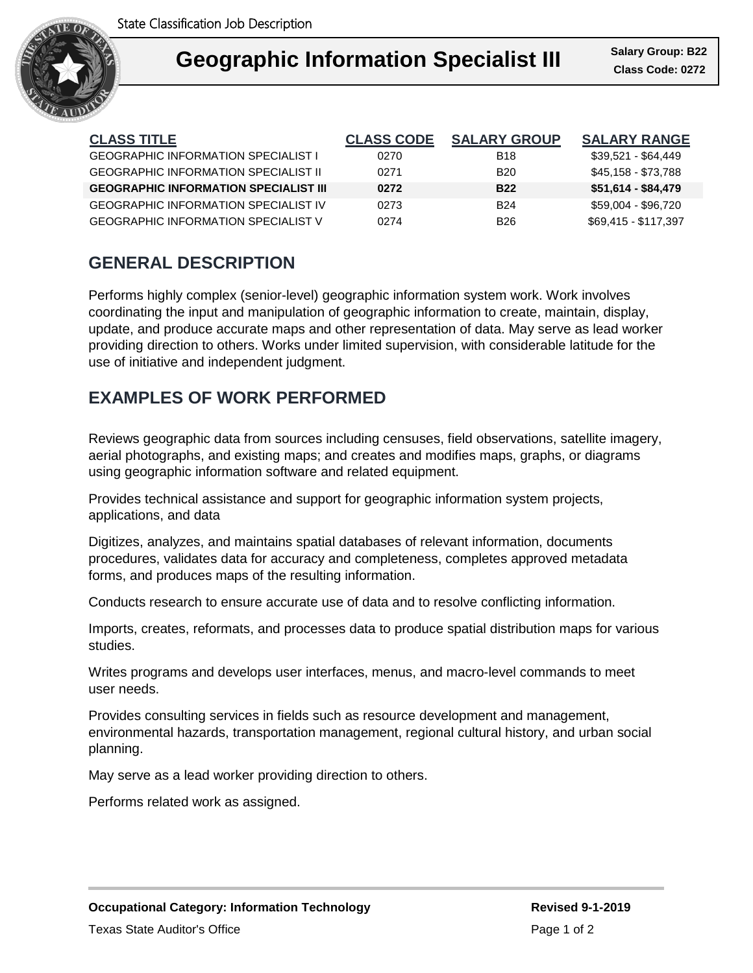

| <b>CLASS TITLE</b>                           | <b>CLASS CODE</b> | <b>SALARY GROUP</b> | <b>SALARY RANGE</b>  |
|----------------------------------------------|-------------------|---------------------|----------------------|
| <b>GEOGRAPHIC INFORMATION SPECIALIST I</b>   | 0270              | B18                 | \$39.521 - \$64.449  |
| <b>GEOGRAPHIC INFORMATION SPECIALIST II</b>  | 0271              | B20                 | \$45,158 - \$73,788  |
| <b>GEOGRAPHIC INFORMATION SPECIALIST III</b> | 0272              | <b>B22</b>          | \$51,614 - \$84,479  |
| <b>GEOGRAPHIC INFORMATION SPECIALIST IV</b>  | 0273              | <b>B24</b>          | \$59,004 - \$96,720  |
| <b>GEOGRAPHIC INFORMATION SPECIALIST V</b>   | 0274              | B26                 | \$69,415 - \$117,397 |

# **GENERAL DESCRIPTION**

Performs highly complex (senior-level) geographic information system work. Work involves coordinating the input and manipulation of geographic information to create, maintain, display, update, and produce accurate maps and other representation of data. May serve as lead worker providing direction to others. Works under limited supervision, with considerable latitude for the use of initiative and independent judgment.

### **EXAMPLES OF WORK PERFORMED**

Reviews geographic data from sources including censuses, field observations, satellite imagery, aerial photographs, and existing maps; and creates and modifies maps, graphs, or diagrams using geographic information software and related equipment.

Provides technical assistance and support for geographic information system projects, applications, and data

Digitizes, analyzes, and maintains spatial databases of relevant information, documents procedures, validates data for accuracy and completeness, completes approved metadata forms, and produces maps of the resulting information.

Conducts research to ensure accurate use of data and to resolve conflicting information.

Imports, creates, reformats, and processes data to produce spatial distribution maps for various studies.

Writes programs and develops user interfaces, menus, and macro-level commands to meet user needs.

Provides consulting services in fields such as resource development and management, environmental hazards, transportation management, regional cultural history, and urban social planning.

May serve as a lead worker providing direction to others.

Performs related work as assigned.